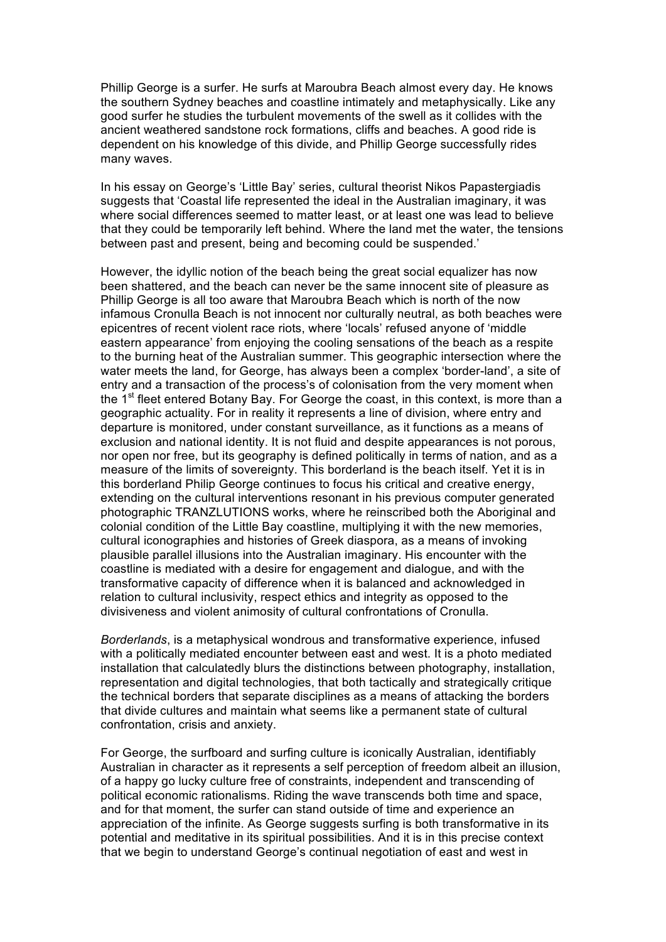Phillip George is a surfer. He surfs at Maroubra Beach almost every day. He knows the southern Sydney beaches and coastline intimately and metaphysically. Like any good surfer he studies the turbulent movements of the swell as it collides with the ancient weathered sandstone rock formations, cliffs and beaches. A good ride is dependent on his knowledge of this divide, and Phillip George successfully rides many waves.

In his essay on George's 'Little Bay' series, cultural theorist Nikos Papastergiadis suggests that 'Coastal life represented the ideal in the Australian imaginary, it was where social differences seemed to matter least, or at least one was lead to believe that they could be temporarily left behind. Where the land met the water, the tensions between past and present, being and becoming could be suspended.'

However, the idyllic notion of the beach being the great social equalizer has now been shattered, and the beach can never be the same innocent site of pleasure as Phillip George is all too aware that Maroubra Beach which is north of the now infamous Cronulla Beach is not innocent nor culturally neutral, as both beaches were epicentres of recent violent race riots, where 'locals' refused anyone of 'middle eastern appearance' from enjoying the cooling sensations of the beach as a respite to the burning heat of the Australian summer. This geographic intersection where the water meets the land, for George, has always been a complex 'border-land', a site of entry and a transaction of the process's of colonisation from the very moment when the  $1<sup>st</sup>$  fleet entered Botany Bay. For George the coast, in this context, is more than a geographic actuality. For in reality it represents a line of division, where entry and departure is monitored, under constant surveillance, as it functions as a means of exclusion and national identity. It is not fluid and despite appearances is not porous, nor open nor free, but its geography is defined politically in terms of nation, and as a measure of the limits of sovereignty. This borderland is the beach itself. Yet it is in this borderland Philip George continues to focus his critical and creative energy, extending on the cultural interventions resonant in his previous computer generated photographic TRANZLUTIONS works, where he reinscribed both the Aboriginal and colonial condition of the Little Bay coastline, multiplying it with the new memories, cultural iconographies and histories of Greek diaspora, as a means of invoking plausible parallel illusions into the Australian imaginary. His encounter with the coastline is mediated with a desire for engagement and dialogue, and with the transformative capacity of difference when it is balanced and acknowledged in relation to cultural inclusivity, respect ethics and integrity as opposed to the divisiveness and violent animosity of cultural confrontations of Cronulla.

*Borderlands*, is a metaphysical wondrous and transformative experience, infused with a politically mediated encounter between east and west. It is a photo mediated installation that calculatedly blurs the distinctions between photography, installation, representation and digital technologies, that both tactically and strategically critique the technical borders that separate disciplines as a means of attacking the borders that divide cultures and maintain what seems like a permanent state of cultural confrontation, crisis and anxiety.

For George, the surfboard and surfing culture is iconically Australian, identifiably Australian in character as it represents a self perception of freedom albeit an illusion, of a happy go lucky culture free of constraints, independent and transcending of political economic rationalisms. Riding the wave transcends both time and space, and for that moment, the surfer can stand outside of time and experience an appreciation of the infinite. As George suggests surfing is both transformative in its potential and meditative in its spiritual possibilities. And it is in this precise context that we begin to understand George's continual negotiation of east and west in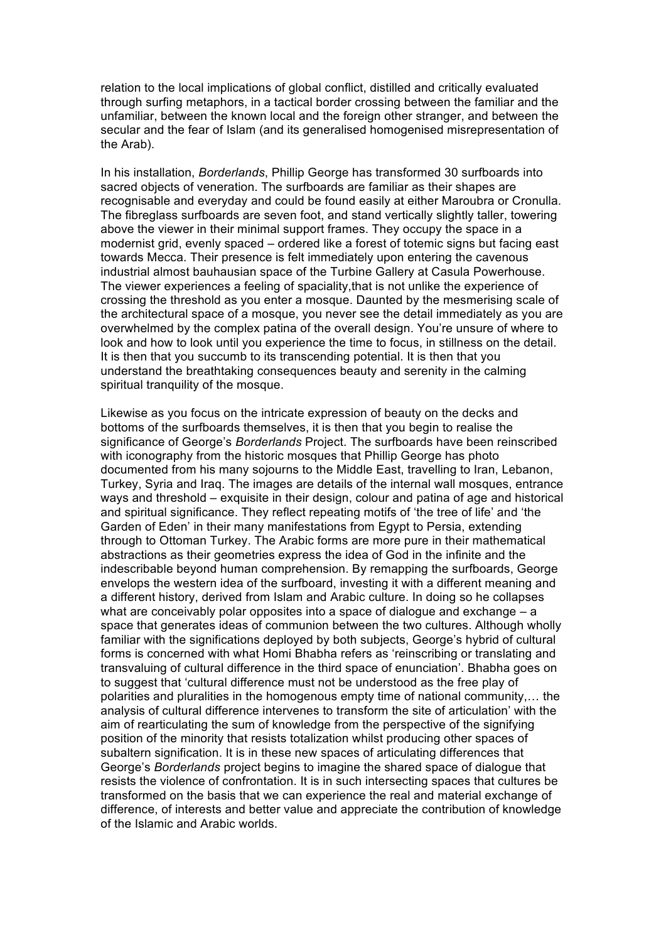relation to the local implications of global conflict, distilled and critically evaluated through surfing metaphors, in a tactical border crossing between the familiar and the unfamiliar, between the known local and the foreign other stranger, and between the secular and the fear of Islam (and its generalised homogenised misrepresentation of the Arab).

In his installation, *Borderlands*, Phillip George has transformed 30 surfboards into sacred objects of veneration. The surfboards are familiar as their shapes are recognisable and everyday and could be found easily at either Maroubra or Cronulla. The fibreglass surfboards are seven foot, and stand vertically slightly taller, towering above the viewer in their minimal support frames. They occupy the space in a modernist grid, evenly spaced – ordered like a forest of totemic signs but facing east towards Mecca. Their presence is felt immediately upon entering the cavenous industrial almost bauhausian space of the Turbine Gallery at Casula Powerhouse. The viewer experiences a feeling of spaciality,that is not unlike the experience of crossing the threshold as you enter a mosque. Daunted by the mesmerising scale of the architectural space of a mosque, you never see the detail immediately as you are overwhelmed by the complex patina of the overall design. You're unsure of where to look and how to look until you experience the time to focus, in stillness on the detail. It is then that you succumb to its transcending potential. It is then that you understand the breathtaking consequences beauty and serenity in the calming spiritual tranquility of the mosque.

Likewise as you focus on the intricate expression of beauty on the decks and bottoms of the surfboards themselves, it is then that you begin to realise the significance of George's *Borderlands* Project. The surfboards have been reinscribed with iconography from the historic mosques that Phillip George has photo documented from his many sojourns to the Middle East, travelling to Iran, Lebanon, Turkey, Syria and Iraq. The images are details of the internal wall mosques, entrance ways and threshold – exquisite in their design, colour and patina of age and historical and spiritual significance. They reflect repeating motifs of 'the tree of life' and 'the Garden of Eden' in their many manifestations from Egypt to Persia, extending through to Ottoman Turkey. The Arabic forms are more pure in their mathematical abstractions as their geometries express the idea of God in the infinite and the indescribable beyond human comprehension. By remapping the surfboards, George envelops the western idea of the surfboard, investing it with a different meaning and a different history, derived from Islam and Arabic culture. In doing so he collapses what are conceivably polar opposites into a space of dialogue and exchange – a space that generates ideas of communion between the two cultures. Although wholly familiar with the significations deployed by both subjects, George's hybrid of cultural forms is concerned with what Homi Bhabha refers as 'reinscribing or translating and transvaluing of cultural difference in the third space of enunciation'. Bhabha goes on to suggest that 'cultural difference must not be understood as the free play of polarities and pluralities in the homogenous empty time of national community,… the analysis of cultural difference intervenes to transform the site of articulation' with the aim of rearticulating the sum of knowledge from the perspective of the signifying position of the minority that resists totalization whilst producing other spaces of subaltern signification. It is in these new spaces of articulating differences that George's *Borderlands* project begins to imagine the shared space of dialogue that resists the violence of confrontation. It is in such intersecting spaces that cultures be transformed on the basis that we can experience the real and material exchange of difference, of interests and better value and appreciate the contribution of knowledge of the Islamic and Arabic worlds.